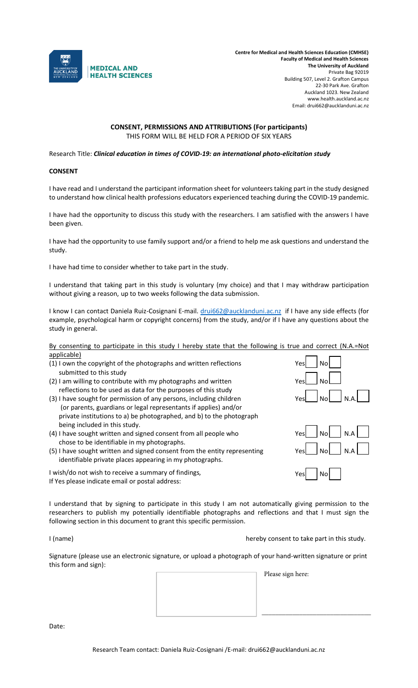

# **CONSENT, PERMISSIONS AND ATTRIBUTIONS (For participants)** THIS FORM WILL BE HELD FOR A PERIOD OF SIX YEARS

Research Title: *Clinical education in times of COVID-19: an international photo-elicitation study*

### **CONSENT**

I have read and I understand the participant information sheet for volunteers taking part in the study designed to understand how clinical health professions educators experienced teaching during the COVID-19 pandemic.

I have had the opportunity to discuss this study with the researchers. I am satisfied with the answers I have been given.

I have had the opportunity to use family support and/or a friend to help me ask questions and understand the study.

I have had time to consider whether to take part in the study.

I understand that taking part in this study is voluntary (my choice) and that I may withdraw participation without giving a reason, up to two weeks following the data submission.

I know I can contact Daniela Ruiz-Cosignani E-mail. [drui662@aucklanduni.ac.nz](mailto:drui662@aucklanduni.ac.nz) if I have any side effects (for example, psychological harm or copyright concerns) from the study, and/or if I have any questions about the study in general.

By consenting to participate in this study I hereby state that the following is true and correct (N.A.=Not applicable)

- $(1)$  I own the copyright of the photographs and written reflections Yes  $\bigcup_{i=1}^{\infty} N_i$ submitted to this study
- $(2)$  I am willing to contribute with my photographs and written reflections to be used as data for the purposes of this study
- (3) I have sought for permission of any persons, including children (or parents, guardians or legal representants if applies) and/or private institutions to a) be photographed, and b) to the photograph being included in this study.
- (4) I have sought written and signed consent from all people who chose to be identifiable in my photographs.
- (5) I have sought written and signed consent from the entity representing identifiable private places appearing in my photographs.

I wish/do not wish to receive a summary of findings, If Yes please indicate email or postal address:

I understand that by signing to participate in this study I am not automatically giving permission to the researchers to publish my potentially identifiable photographs and reflections and that I must sign the following section in this document to grant this specific permission.

I (name) hereby consent to take part in this study.

\_\_\_\_\_\_\_\_\_\_\_\_\_\_\_\_\_\_\_\_\_\_\_\_\_\_\_\_\_\_\_\_

Signature (please use an electronic signature, or upload a photograph of your hand-written signature or print this form and sign):

Please sign here:

Date: